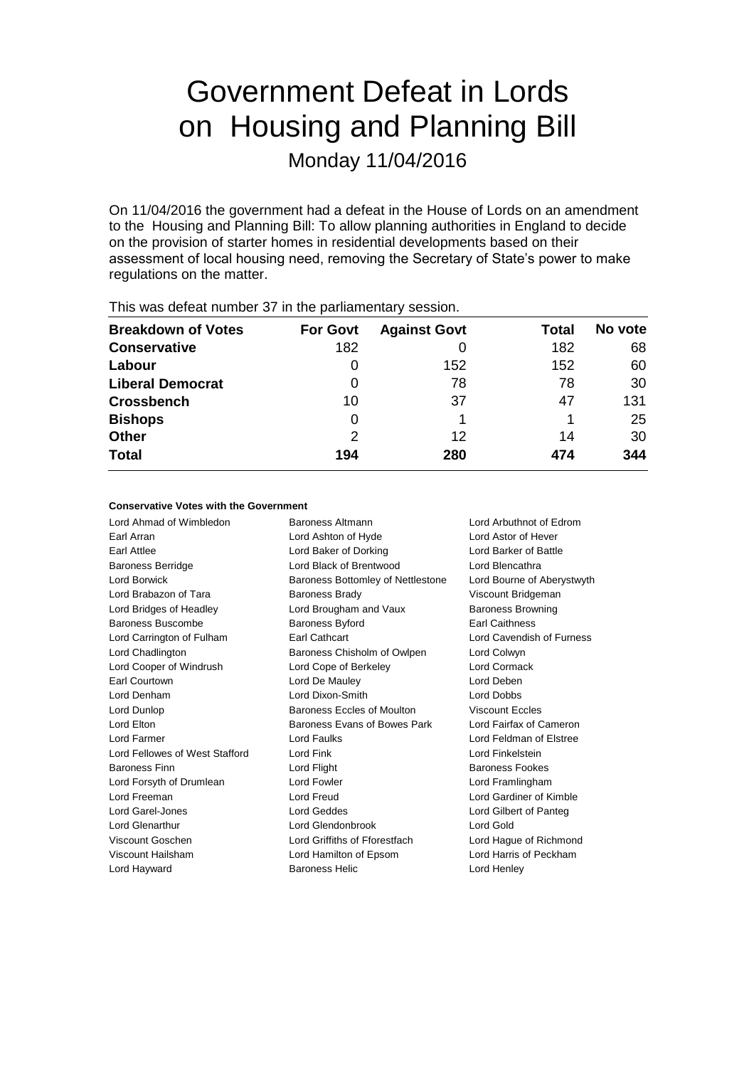## Government Defeat in Lords on Housing and Planning Bill

Monday 11/04/2016

On 11/04/2016 the government had a defeat in the House of Lords on an amendment to the Housing and Planning Bill: To allow planning authorities in England to decide on the provision of starter homes in residential developments based on their assessment of local housing need, removing the Secretary of State's power to make regulations on the matter.

| <b>Breakdown of Votes</b> | <b>For Govt</b> | <b>Against Govt</b> | Total | No vote |  |
|---------------------------|-----------------|---------------------|-------|---------|--|
| <b>Conservative</b>       | 182             |                     | 182   | 68      |  |
| Labour                    |                 | 152                 | 152   | 60      |  |
| <b>Liberal Democrat</b>   | 0               | 78                  | 78    | 30      |  |
| <b>Crossbench</b>         | 10              | 37                  | 47    | 131     |  |
| <b>Bishops</b>            | 0               |                     |       | 25      |  |
| <b>Other</b>              | 2               | 12                  | 14    | 30      |  |
| <b>Total</b>              | 194             | 280                 | 474   | 344     |  |
|                           |                 |                     |       |         |  |

This was defeat number 37 in the parliamentary session.

#### **Conservative Votes with the Government**

Lord Ahmad of Wimbledon Baroness Altmann Lord Arbuthnot of Edrom Earl Arran Lord Ashton of Hyde Lord Astor of Hever Earl Attlee Lord Baker of Dorking Lord Barker of Battle Baroness Berridge Lord Black of Brentwood Lord Blencathra Lord Borwick **Baroness Bottomley of Nettlestone** Lord Bourne of Aberystwyth Lord Brabazon of Tara **Baroness Brady Communist Constructs** Viscount Bridgeman Lord Bridges of Headley Lord Brougham and Vaux Baroness Browning Baroness Buscombe Baroness Byford Earl Caithness Lord Carrington of Fulham Earl Cathcart Lord Cavendish of Furness Lord Chadlington Baroness Chisholm of Owlpen Lord Colwyn Lord Cooper of Windrush Lord Cope of Berkeley Lord Cormack Earl Courtown Lord De Mauley Lord Deben Lord Denham Lord Dixon-Smith Lord Dobbs Lord Dunlop **Baroness Eccles of Moulton** Viscount Eccles Lord Elton Baroness Evans of Bowes Park Lord Fairfax of Cameron Lord Farmer Lord Faulks Lord Feldman of Elstree Lord Fellowes of West Stafford Lord Fink Lord Finkelstein Baroness Finn Lord Flight Baroness Fookes Lord Forsyth of Drumlean Lord Fowler Lord Framlingham Lord Freeman Lord Freud Lord Gardiner of Kimble Lord Garel-Jones Lord Geddes Lord Gilbert of Panteg Lord Glenarthur Lord Glendonbrook Lord Gold Viscount Goschen Lord Griffiths of Fforestfach Lord Hague of Richmond Viscount Hailsham Lord Hamilton of Epsom Lord Harris of Peckham Lord Hayward Baroness Helic Lord Henley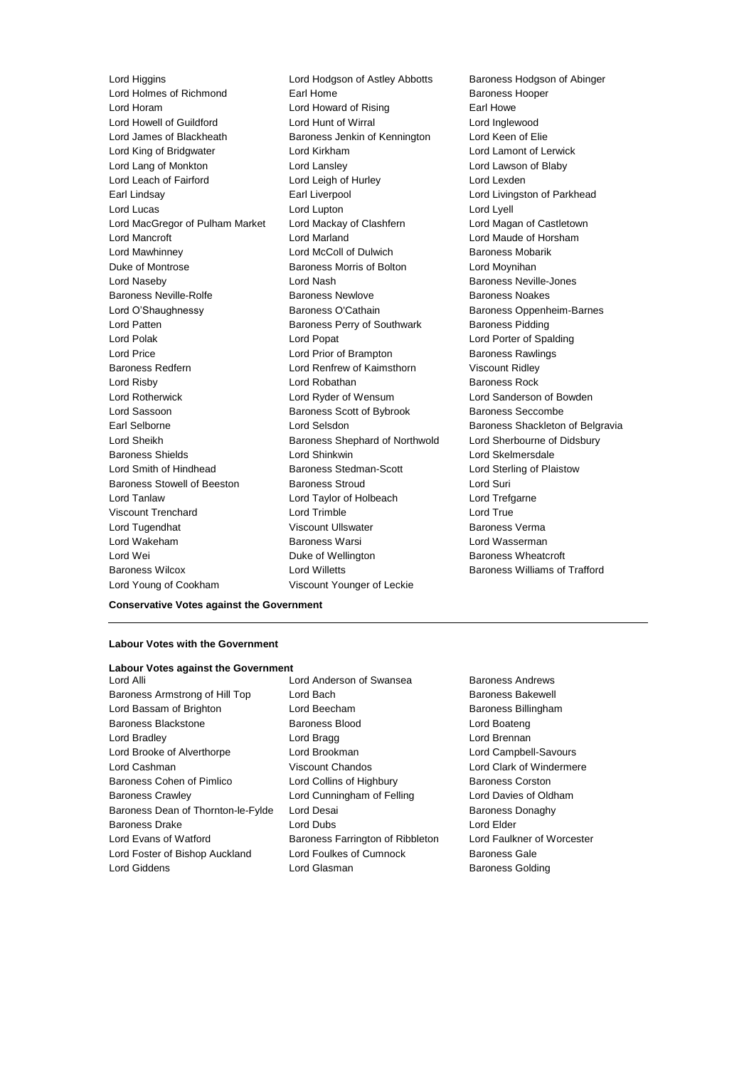Lord Higgins Lord Hodgson of Astley Abbotts Baroness Hodgson of Abinger Lord Holmes of Richmond Earl Home **Earl Home** Baroness Hooper Lord Horam Lord Howard of Rising Earl Howe Lord Howell of Guildford **Lord Hunt of Wirral** Lord Howell of Guildford **Lord Hunt of Wirral** Lord Inglewood Lord James of Blackheath **Baroness Jenkin of Kennington** Lord Keen of El Lord King of Bridgwater Lord Kirkham Lord Lamont of Lerwick Lord Lang of Monkton Lord Lansley Lord Lawson of Blaby Lord Leach of Fairford **Lord Leigh of Hurley** Lord Lexden Earl Lindsay **Earl Liverpool** Earl Liverpool **Lord Livingston of Parkhead** Lord Lucas Lord Lupton Lord Lyell Lord MacGregor of Pulham Market Lord Mackay of Clashfern Lord Magan of Castletown Lord Mancroft Lord Marland Lord Maude of Horsham Lord Mawhinney Lord McColl of Dulwich Baroness Mobarik Duke of Montrose Baroness Morris of Bolton Lord Moynihan Lord Naseby **Lord Nash Baroness Neville-Jones** Baroness Neville-Rolfe Baroness Newlove Baroness Noakes Lord O'Shaughnessy **Baroness O'Cathain** Baroness Oppenheim-Barnes Lord Patten **Baroness Perry of Southwark** Baroness Pidding Lord Polak Lord Popat Lord Porter of Spalding Lord Price **Lord Prior of Brampton** Baroness Rawlings Baroness Redfern Lord Renfrew of Kaimsthorn Viscount Ridley **Lord Risby Communist Communist Lord Robathan Communist Communist Communist Communist Communist Communist Communist Communist Communist Communist Communist Communist Communist Communist Communist Communist Communist Commun** Lord Rotherwick Lord Ryder of Wensum Lord Sanderson of Bowden Lord Sassoon **Baroness Scott of Bybrook** Baroness Seccombe Earl Selborne **Lord Selsdon** Baroness Shackleton of Belgravia Lord Sheikh Baroness Shephard of Northwold Lord Sherbourne of Didsbury Baroness Shields Lord Shinkwin Lord Skelmersdale Lord Smith of Hindhead Baroness Stedman-Scott Lord Sterling of Plaistow Baroness Stowell of Beeston Baroness Stroud **Baroness** Stroud Lord Suri Lord Tanlaw Lord Taylor of Holbeach Lord Trefgarne Viscount Trenchard Lord Trimble Lord True Lord Tugendhat **Viscount Ullswater Baroness Verma** Viscount Ullswater **Baroness Verma** Lord Wakeham Baroness Warsi Lord Wasserman Lord Wei **Duke of Wellington** Baroness Wheatcroft **Duke** of Wellington **Baroness** Wheatcroft Baroness Wilcox Lord Willetts Baroness Williams of Trafford Lord Young of Cookham Viscount Younger of Leckie

Baroness Jenkin of Kennington Lord Keen of Elie

**Conservative Votes against the Government**

#### **Labour Votes with the Government**

#### **Labour Votes against the Government**

- Baroness Armstrong of Hill Top Lord Bach Baroness Bakewell Lord Bassam of Brighton **Lord Beecham** Baroness Billingham Baroness Blackstone Baroness Blood Lord Boateng Lord Bradley **Lord Bragg Lord Bragg Lord Brennan** Lord Brooke of Alverthorpe Lord Brookman Lord Campbell-Savours Lord Cashman Viscount Chandos Lord Clark of Windermere Baroness Cohen of Pimlico **Lord Collins of Highbury** Baroness Corston Baroness Crawley Lord Cunningham of Felling Lord Davies of Oldham Baroness Dean of Thornton-le-Fylde Lord Desai **Baroness Danaghy** Baroness Donaghy Baroness Drake Lord Dubs Lord Elder Lord Evans of Watford **Baroness Farrington of Ribbleton** Lord Faulkner of Worcester Lord Foster of Bishop Auckland Lord Foulkes of Cumnock Baroness Gale
- Lord Alli Lord Anderson of Swansea Baroness Andrews Lord Giddens **Lord Glasman** Baroness Golding
	-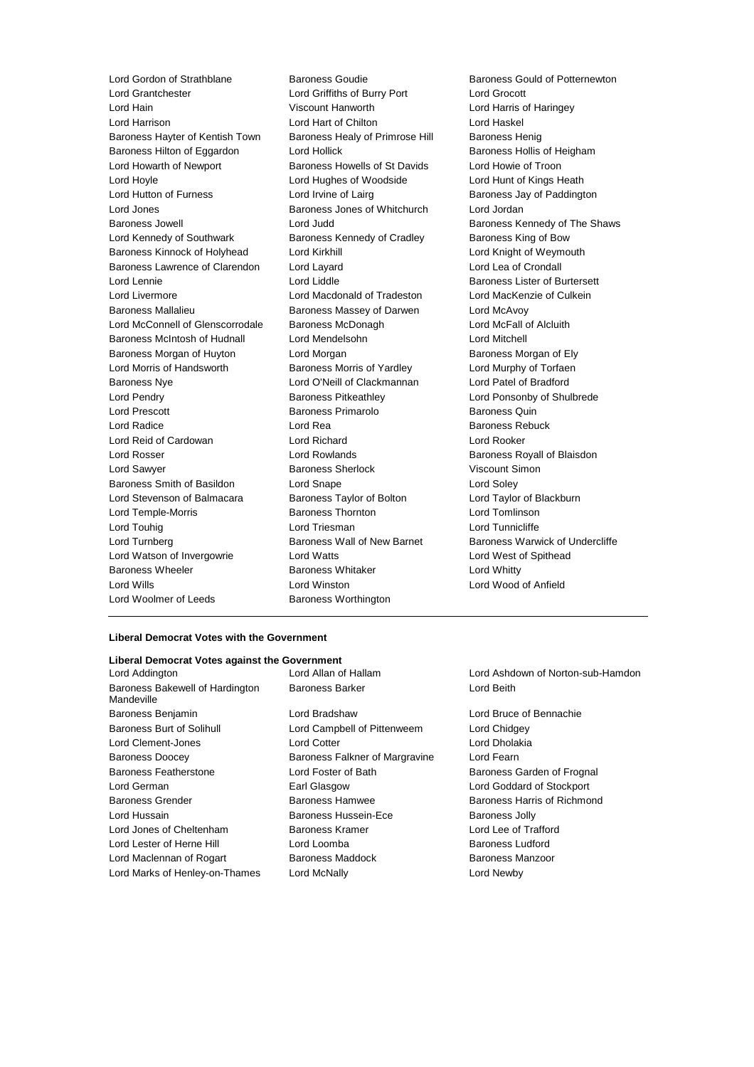Lord Gordon of Strathblane Baroness Goudie Baroness Gould of Potternewton<br>
Lord Grantchester **Baroness Could of Potternewton**<br>
Lord Grantchester Lord Hain Viscount Hanworth Lord Harris of Haringey Lord Harrison Lord Hart of Chilton Lord Haskel Baroness Hayter of Kentish Town Baroness Healy of Primrose Hill Baroness Henig Baroness Hilton of Eggardon Lord Hollick **Baroness Hollis of Heigham** Lord Howarth of Newport Baroness Howells of St Davids Lord Howie of Troon Lord Hoyle Lord Hughes of Woodside Lord Hunt of Kings Heath Lord Hutton of Furness **Lord Irvine of Lairg** Baroness Jay of Paddington Lord Jones Baroness Jones of Whitchurch Lord Jordan Baroness Jowell **Example 2** Lord Judd Baroness Kennedy of The Shaws Lord Kennedy of Southwark Baroness Kennedy of Cradley Baroness King of Bow Baroness Kinnock of Holyhead Lord Kirkhill Lord Kirkhill Lord Knight of Weymouth Baroness Lawrence of Clarendon Lord Layard Lord Lea of Crondall Lord Lennie **Lord Liddle Lord Liddle Baroness Lister of Burtersett** Lord Livermore Lord Macdonald of Tradeston Lord MacKenzie of Culkein Baroness Mallalieu Baroness Massey of Darwen Lord McAvoy Lord McConnell of Glenscorrodale Baroness McDonagh Lord McFall of Alcluith Baroness McIntosh of Hudnall Lord Mendelsohn Lord Methell Baroness Morgan of Huyton Lord Morgan Baroness Morgan by Baroness Morgan of Ely Lord Morris of Handsworth **Baroness Morris of Yardley** Lord Murphy of Torfaen Baroness Nye Lord O'Neill of Clackmannan Lord Patel of Bradford Lord Pendry **Baroness Pitkeathley Lord Ponsonby of Shulbrede** Lord Ponsonby of Shulbrede Lord Prescott Baroness Primarolo Baroness Quin Lord Radice Lord Rea Baroness Rebuck Lord Reid of Cardowan Lord Richard Lord Rooker Lord Rosser Lord Rowlands Baroness Royall of Blaisdon Lord Sawyer **Baroness Sherlock** Viscount Simon Baroness Smith of Basildon Lord Snape Lord Soley Lord Stevenson of Balmacara Baroness Taylor of Bolton Lord Taylor of Blackburn Lord Temple-Morris Baroness Thornton Lord Tomlinson Lord Touhig Lord Triesman Lord Tunnicliffe Lord Turnberg **Baroness Wall of New Barnet Baroness Warwick of Undercliffe** Lord Watson of Invergowrie Lord Watts Lord West of Spithead Baroness Wheeler **Baroness Whitaker** Lord Whitty Lord Wills Lord Winston Lord Wood of Anfield Lord Woolmer of Leeds **Baroness Worthington** 

Lord Griffiths of Burry Port Lord Grocott

#### **Liberal Democrat Votes with the Government**

#### **Liberal Democrat Votes against the Government**

| Lord Addington                                |
|-----------------------------------------------|
| Baroness Bakewell of Hardington<br>Mandeville |
| <b>Baroness Benjamin</b>                      |
|                                               |
| <b>Baroness Burt of Solihull</b>              |
| Lord Clement-Jones                            |
| <b>Baroness Doocey</b>                        |
| Baroness Featherstone                         |
| Lord German                                   |
| <b>Baroness Grender</b>                       |
| Lord Hussain                                  |
| Lord Jones of Cheltenham                      |
| Lord Lester of Herne Hill                     |
| Lord Maclennan of Rogart                      |
| Lord Marks of Henley-on-Thames                |

Baroness Barker **Lord Beith** Lord Bradshaw **Lord Bruce of Bennachie** Lord Campbell of Pittenweem Lord Chidgey Lord Cotter **Lord Dholakia** Baroness Falkner of Margravine Lord Fearn Lord Foster of Bath Baroness Garden of Frognal Earl Glasgow Lord Goddard of Stockport Baroness Hamwee Baroness Harris of Richmond Baroness Hussein-Ece Baroness Jolly Baroness Kramer Lord Lee of Trafford Lord Loomba **Baroness Ludford** Lord Maclennan of Rogart Baroness Maddock Baroness Manzoor Lord McNally **Lord McNally** Lord Newby

Lord Allan of Hallam Lord Ashdown of Norton-sub-Hamdon